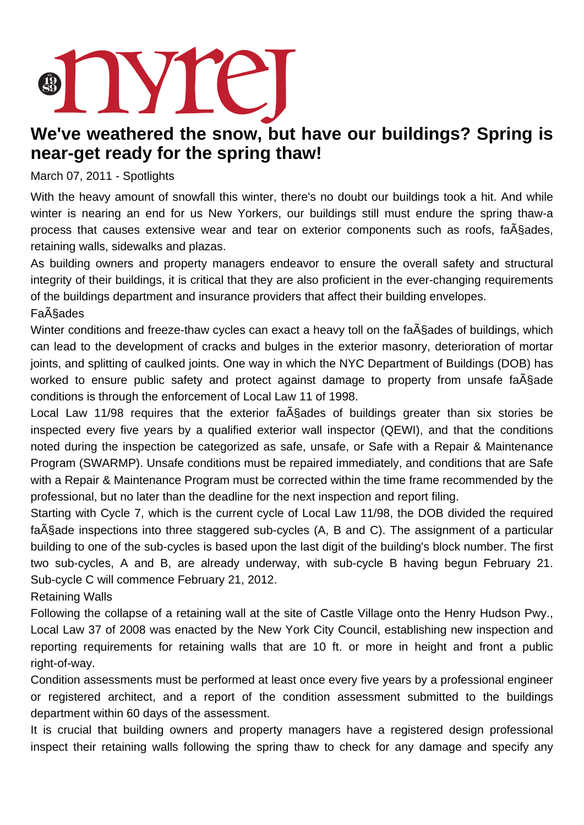## TYTE.

## **We've weathered the snow, but have our buildings? Spring is near-get ready for the spring thaw!**

March 07, 2011 - Spotlights

With the heavy amount of snowfall this winter, there's no doubt our buildings took a hit. And while winter is nearing an end for us New Yorkers, our buildings still must endure the spring thaw-a process that causes extensive wear and tear on exterior components such as roofs, fa A sades, retaining walls, sidewalks and plazas.

As building owners and property managers endeavor to ensure the overall safety and structural integrity of their buildings, it is critical that they are also proficient in the ever-changing requirements of the buildings department and insurance providers that affect their building envelopes. Fa<sub>A</sub>§ades

Winter conditions and freeze-thaw cycles can exact a heavy toll on the fa $\tilde{A}$ Sades of buildings, which can lead to the development of cracks and bulges in the exterior masonry, deterioration of mortar joints, and splitting of caulked joints. One way in which the NYC Department of Buildings (DOB) has worked to ensure public safety and protect against damage to property from unsafe fa $\tilde{A}$ §ade conditions is through the enforcement of Local Law 11 of 1998.

Local Law 11/98 requires that the exterior fa $\tilde{A}$ Sades of buildings greater than six stories be inspected every five years by a qualified exterior wall inspector (QEWI), and that the conditions noted during the inspection be categorized as safe, unsafe, or Safe with a Repair & Maintenance Program (SWARMP). Unsafe conditions must be repaired immediately, and conditions that are Safe with a Repair & Maintenance Program must be corrected within the time frame recommended by the professional, but no later than the deadline for the next inspection and report filing.

Starting with Cycle 7, which is the current cycle of Local Law 11/98, the DOB divided the required fa $\ddot{A}$ §ade inspections into three staggered sub-cycles (A, B and C). The assignment of a particular building to one of the sub-cycles is based upon the last digit of the building's block number. The first two sub-cycles, A and B, are already underway, with sub-cycle B having begun February 21. Sub-cycle C will commence February 21, 2012.

Retaining Walls

Following the collapse of a retaining wall at the site of Castle Village onto the Henry Hudson Pwy., Local Law 37 of 2008 was enacted by the New York City Council, establishing new inspection and reporting requirements for retaining walls that are 10 ft. or more in height and front a public right-of-way.

Condition assessments must be performed at least once every five years by a professional engineer or registered architect, and a report of the condition assessment submitted to the buildings department within 60 days of the assessment.

It is crucial that building owners and property managers have a registered design professional inspect their retaining walls following the spring thaw to check for any damage and specify any